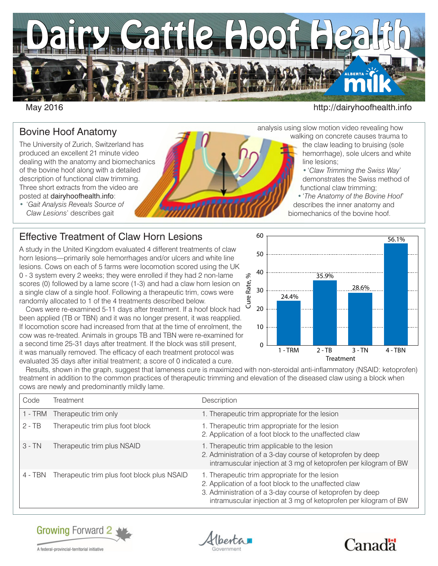

#### May 2016 **http://dairyhoofhealth.info**

walking on concrete causes trauma to the claw leading to bruising (sole hemorrhage), sole ulcers and white

•'*Claw Trimming the Swiss Way*' demonstrates the Swiss method of

•'*The Anatomy of the Bovine Hoof*' describes the inner anatomy and biomechanics of the bovine hoof.

functional claw trimming;

analysis using slow motion video revealing how

line lesions;

#### Bovine Hoof Anatomy

The University of Zurich, Switzerland has produced an excellent 21 minute video dealing with the anatomy and biomechanics of the bovine hoof along with a detailed description of functional claw trimming. Three short extracts from the video are posted at dairyhoofhealth.info:

• '*Gait Analysis Reveals Source of Claw Lesions*' describes gait

## Effective Treatment of Claw Horn Lesions

A study in the United Kingdom evaluated 4 different treatments of claw horn lesions—primarily sole hemorrhages and/or ulcers and white line lesions. Cows on each of 5 farms were locomotion scored using the UK 0 - 3 system every 2 weeks; they were enrolled if they had 2 non-lame scores (0) followed by a lame score (1-3) and had a claw horn lesion on a single claw of a single hoof. Following a therapeutic trim, cows were randomly allocated to 1 of the 4 treatments described below.

Cows were re-examined 5-11 days after treatment. If a hoof block had been applied (TB or TBN) and it was no longer present, it was reapplied. If locomotion score had increased from that at the time of enrolment, the cow was re-treated. Animals in groups TB and TBN were re-examined for a second time 25-31 days after treatment. If the block was still present, it was manually removed. The efficacy of each treatment protocol was evaluated 35 days after initial treatment; a score of 0 indicated a cure.



Results, shown in the graph, suggest that lameness cure is maximized with non-steroidal anti-inflammatory (NSAID: ketoprofen) treatment in addition to the common practices of therapeutic trimming and elevation of the diseased claw using a block when cows are newly and predominantly mildly lame.

| Code     | Treatment                                   | Description                                                                                                                                                                                                                              |
|----------|---------------------------------------------|------------------------------------------------------------------------------------------------------------------------------------------------------------------------------------------------------------------------------------------|
|          | 1 - TRM Therapeutic trim only               | 1. Therapeutic trim appropriate for the lesion                                                                                                                                                                                           |
| $2 - TB$ | Therapeutic trim plus foot block            | 1. Therapeutic trim appropriate for the lesion<br>2. Application of a foot block to the unaffected claw                                                                                                                                  |
| $3 - TN$ | Therapeutic trim plus NSAID                 | I. Therapeutic trim applicable to the lesion<br>2. Administration of a 3-day course of ketoprofen by deep<br>intramuscular injection at 3 mg of ketoprofen per kilogram of BW                                                            |
| 4 - TBN  | Therapeutic trim plus foot block plus NSAID | 1. Therapeutic trim appropriate for the lesion<br>2. Application of a foot block to the unaffected claw<br>3. Administration of a 3-day course of ketoprofen by deep<br>intramuscular injection at 3 mg of ketoprofen per kilogram of BW |